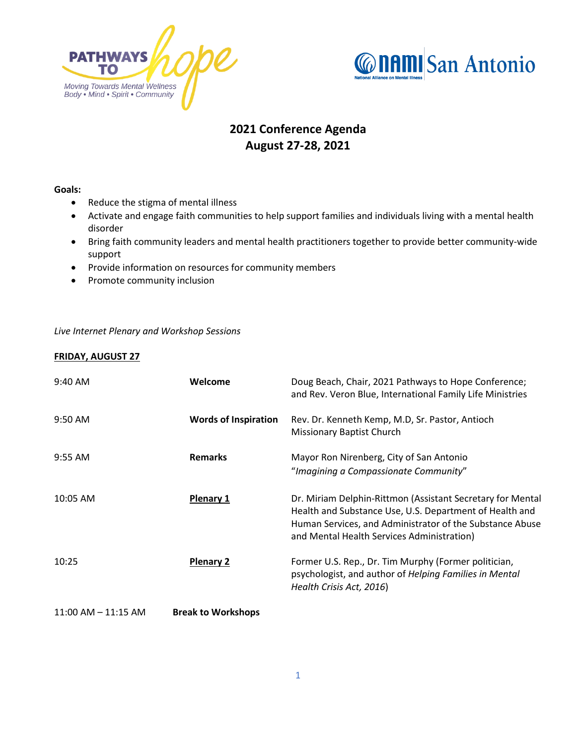



## **2021 Conference Agenda August 27-28, 2021**

## **Goals:**

- Reduce the stigma of mental illness
- Activate and engage faith communities to help support families and individuals living with a mental health disorder
- Bring faith community leaders and mental health practitioners together to provide better community-wide support
- Provide information on resources for community members
- Promote community inclusion

*Live Internet Plenary and Workshop Sessions*

## **FRIDAY, AUGUST 27**

| 9:40 AM                | Welcome                     | Doug Beach, Chair, 2021 Pathways to Hope Conference;<br>and Rev. Veron Blue, International Family Life Ministries                                                                                                               |
|------------------------|-----------------------------|---------------------------------------------------------------------------------------------------------------------------------------------------------------------------------------------------------------------------------|
| 9:50 AM                | <b>Words of Inspiration</b> | Rev. Dr. Kenneth Kemp, M.D, Sr. Pastor, Antioch<br><b>Missionary Baptist Church</b>                                                                                                                                             |
| $9:55$ AM              | <b>Remarks</b>              | Mayor Ron Nirenberg, City of San Antonio<br>"Imagining a Compassionate Community"                                                                                                                                               |
| 10:05 AM               | <b>Plenary 1</b>            | Dr. Miriam Delphin-Rittmon (Assistant Secretary for Mental<br>Health and Substance Use, U.S. Department of Health and<br>Human Services, and Administrator of the Substance Abuse<br>and Mental Health Services Administration) |
| 10:25                  | <b>Plenary 2</b>            | Former U.S. Rep., Dr. Tim Murphy (Former politician,<br>psychologist, and author of Helping Families in Mental<br>Health Crisis Act, 2016)                                                                                      |
| $11:00$ AM $-11:15$ AM | <b>Break to Workshops</b>   |                                                                                                                                                                                                                                 |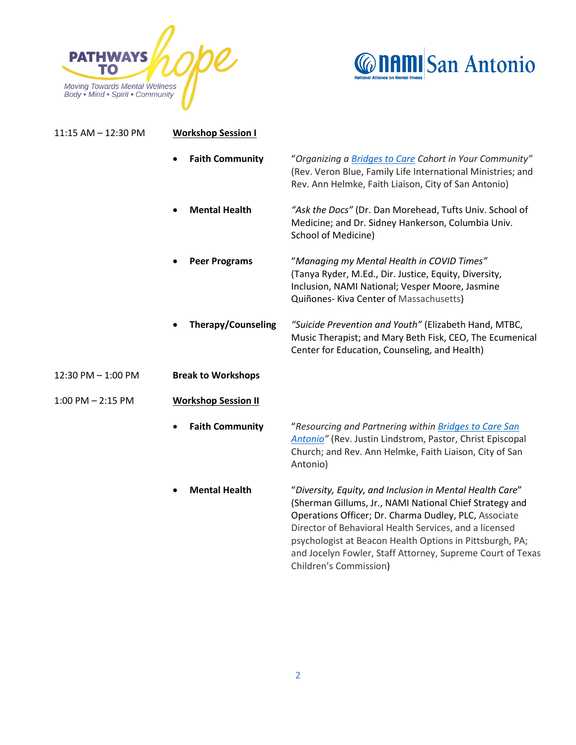



| 11:15 AM - 12:30 PM   | <b>Workshop Session I</b>           |                                                                                                                                                                                                                                                                                                                                                                  |  |
|-----------------------|-------------------------------------|------------------------------------------------------------------------------------------------------------------------------------------------------------------------------------------------------------------------------------------------------------------------------------------------------------------------------------------------------------------|--|
|                       | <b>Faith Community</b><br>$\bullet$ | "Organizing a Bridges to Care Cohort in Your Community"<br>(Rev. Veron Blue, Family Life International Ministries; and<br>Rev. Ann Helmke, Faith Liaison, City of San Antonio)                                                                                                                                                                                   |  |
|                       | <b>Mental Health</b><br>$\bullet$   | "Ask the Docs" (Dr. Dan Morehead, Tufts Univ. School of<br>Medicine; and Dr. Sidney Hankerson, Columbia Univ.<br>School of Medicine)                                                                                                                                                                                                                             |  |
|                       | <b>Peer Programs</b>                | "Managing my Mental Health in COVID Times"<br>(Tanya Ryder, M.Ed., Dir. Justice, Equity, Diversity,<br>Inclusion, NAMI National; Vesper Moore, Jasmine<br>Quiñones- Kiva Center of Massachusetts)                                                                                                                                                                |  |
|                       | <b>Therapy/Counseling</b>           | "Suicide Prevention and Youth" (Elizabeth Hand, MTBC,<br>Music Therapist; and Mary Beth Fisk, CEO, The Ecumenical<br>Center for Education, Counseling, and Health)                                                                                                                                                                                               |  |
| 12:30 PM - 1:00 PM    | <b>Break to Workshops</b>           |                                                                                                                                                                                                                                                                                                                                                                  |  |
| $1:00$ PM $- 2:15$ PM | <b>Workshop Session II</b>          |                                                                                                                                                                                                                                                                                                                                                                  |  |
|                       | <b>Faith Community</b>              | "Resourcing and Partnering within Bridges to Care San<br>Antonio" (Rev. Justin Lindstrom, Pastor, Christ Episcopal<br>Church; and Rev. Ann Helmke, Faith Liaison, City of San<br>Antonio)                                                                                                                                                                        |  |
|                       | <b>Mental Health</b>                | "Diversity, Equity, and Inclusion in Mental Health Care"<br>(Sherman Gillums, Jr., NAMI National Chief Strategy and<br>Operations Officer; Dr. Charma Dudley, PLC, Associate<br>Director of Behavioral Health Services, and a licensed<br>psychologist at Beacon Health Options in Pittsburgh, PA;<br>and Jocelyn Fowler, Staff Attorney, Supreme Court of Texas |  |

Children's Commission)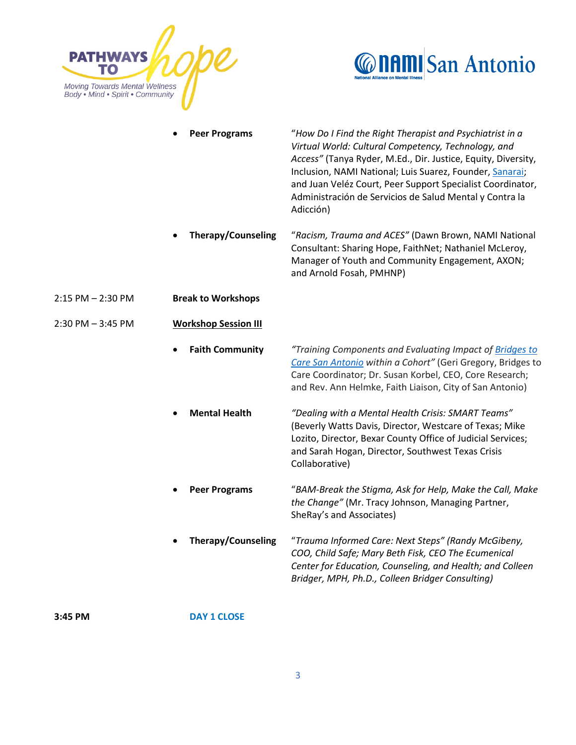



|                       | <b>Peer Programs</b>        | "How Do I Find the Right Therapist and Psychiatrist in a<br>Virtual World: Cultural Competency, Technology, and<br>Access" (Tanya Ryder, M.Ed., Dir. Justice, Equity, Diversity,<br>Inclusion, NAMI National; Luis Suarez, Founder, Sanarai;<br>and Juan Veléz Court, Peer Support Specialist Coordinator,<br>Administración de Servicios de Salud Mental y Contra la<br>Adicción) |
|-----------------------|-----------------------------|------------------------------------------------------------------------------------------------------------------------------------------------------------------------------------------------------------------------------------------------------------------------------------------------------------------------------------------------------------------------------------|
|                       | Therapy/Counseling          | "Racism, Trauma and ACES" (Dawn Brown, NAMI National<br>Consultant: Sharing Hope, FaithNet; Nathaniel McLeroy,<br>Manager of Youth and Community Engagement, AXON;<br>and Arnold Fosah, PMHNP)                                                                                                                                                                                     |
| $2:15$ PM $- 2:30$ PM | <b>Break to Workshops</b>   |                                                                                                                                                                                                                                                                                                                                                                                    |
| $2:30$ PM $-3:45$ PM  | <b>Workshop Session III</b> |                                                                                                                                                                                                                                                                                                                                                                                    |
|                       | <b>Faith Community</b>      | "Training Components and Evaluating Impact of Bridges to<br>Care San Antonio within a Cohort" (Geri Gregory, Bridges to<br>Care Coordinator; Dr. Susan Korbel, CEO, Core Research;<br>and Rev. Ann Helmke, Faith Liaison, City of San Antonio)                                                                                                                                     |
|                       | <b>Mental Health</b>        | "Dealing with a Mental Health Crisis: SMART Teams"<br>(Beverly Watts Davis, Director, Westcare of Texas; Mike<br>Lozito, Director, Bexar County Office of Judicial Services;<br>and Sarah Hogan, Director, Southwest Texas Crisis<br>Collaborative)                                                                                                                                |
|                       | <b>Peer Programs</b>        | "BAM-Break the Stigma, Ask for Help, Make the Call, Make<br>the Change" (Mr. Tracy Johnson, Managing Partner,<br>SheRay's and Associates)                                                                                                                                                                                                                                          |
|                       | <b>Therapy/Counseling</b>   | "Trauma Informed Care: Next Steps" (Randy McGibeny,<br>COO, Child Safe; Mary Beth Fisk, CEO The Ecumenical<br>Center for Education, Counseling, and Health; and Colleen<br>Bridger, MPH, Ph.D., Colleen Bridger Consulting)                                                                                                                                                        |

**3:45 PM DAY 1 CLOSE**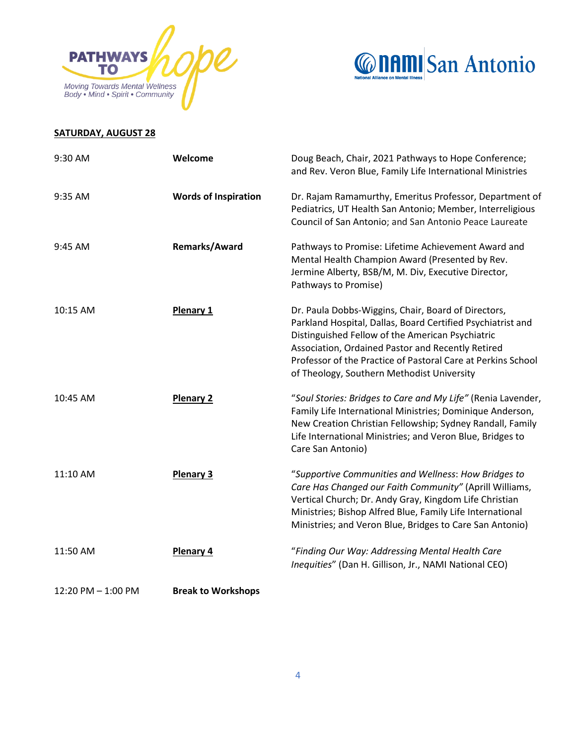



## **SATURDAY, AUGUST 28**

| 9:30 AM            | Welcome                     | Doug Beach, Chair, 2021 Pathways to Hope Conference;<br>and Rev. Veron Blue, Family Life International Ministries                                                                                                                                                                                                                         |
|--------------------|-----------------------------|-------------------------------------------------------------------------------------------------------------------------------------------------------------------------------------------------------------------------------------------------------------------------------------------------------------------------------------------|
| 9:35 AM            | <b>Words of Inspiration</b> | Dr. Rajam Ramamurthy, Emeritus Professor, Department of<br>Pediatrics, UT Health San Antonio; Member, Interreligious<br>Council of San Antonio; and San Antonio Peace Laureate                                                                                                                                                            |
| 9:45 AM            | <b>Remarks/Award</b>        | Pathways to Promise: Lifetime Achievement Award and<br>Mental Health Champion Award (Presented by Rev.<br>Jermine Alberty, BSB/M, M. Div, Executive Director,<br>Pathways to Promise)                                                                                                                                                     |
| 10:15 AM           | Plenary 1                   | Dr. Paula Dobbs-Wiggins, Chair, Board of Directors,<br>Parkland Hospital, Dallas, Board Certified Psychiatrist and<br>Distinguished Fellow of the American Psychiatric<br>Association, Ordained Pastor and Recently Retired<br>Professor of the Practice of Pastoral Care at Perkins School<br>of Theology, Southern Methodist University |
| 10:45 AM           | <b>Plenary 2</b>            | "Soul Stories: Bridges to Care and My Life" (Renia Lavender,<br>Family Life International Ministries; Dominique Anderson,<br>New Creation Christian Fellowship; Sydney Randall, Family<br>Life International Ministries; and Veron Blue, Bridges to<br>Care San Antonio)                                                                  |
| 11:10 AM           | <b>Plenary 3</b>            | "Supportive Communities and Wellness: How Bridges to<br>Care Has Changed our Faith Community" (Aprill Williams,<br>Vertical Church; Dr. Andy Gray, Kingdom Life Christian<br>Ministries; Bishop Alfred Blue, Family Life International<br>Ministries; and Veron Blue, Bridges to Care San Antonio)                                        |
| 11:50 AM           | <b>Plenary 4</b>            | "Finding Our Way: Addressing Mental Health Care<br>Inequities" (Dan H. Gillison, Jr., NAMI National CEO)                                                                                                                                                                                                                                  |
| 12:20 PM - 1:00 PM | <b>Break to Workshops</b>   |                                                                                                                                                                                                                                                                                                                                           |